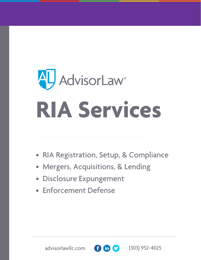# **AU** AdvisorLaw<sup>®</sup> **RIA Services**

- RIA Registration, Setup, & Compliance
- Mergers, Acquisitions, & Lending
- Disclosure Expungement
- Enforcement Defense

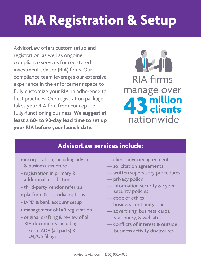# **RIA Registration & Setup**

AdvisorLaw offers custom setup and registration, as well as ongoing compliance services for registered investment advisor (RIA) firms. Our compliance team leverages our extensive experience in the enforcement space to fully customize your RIA, in adherence to best practices. Our registration package takes your RIA firm from concept to fully-functioning business. **We suggest at least a 60- to 90-day lead time to set up your RIA before your launch date.** 



#### **AdvisorLaw services include:**

- incorporation, including advice & business structure
- registration in primary & additional jurisdictions
- third-party vendor referrals
- platform & custodial options
- IAPD & bank account setup
- management of IAR registration
- original drafting & review of all RIA documents including:
- Form ADV (all parts) & U4/U5 filings
- client advisory agreement
- solicitation agreements
- written supervisory procedures
- privacy policy
- information security & cyber security policies
- code of ethics
- business continuity plan
- advertising, business cards, stationery, & websites
- conflicts of interest & outside business activity disclosures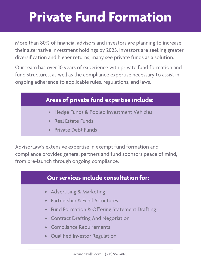# **Private Fund Formation**

More than 80% of financial advisors and investors are planning to increase their alternative investment holdings by 2025. Investors are seeking greater diversification and higher returns; many see private funds as a solution.

Our team has over 10 years of experience with private fund formation and fund structures, as well as the compliance expertise necessary to assist in ongoing adherence to applicable rules, regulations, and laws.

#### **Areas of private fund expertise include:**

- Hedge Funds & Pooled Investment Vehicles
- Real Estate Funds
- Private Debt Funds

AdvisorLaw's extensive expertise in exempt fund formation and compliance provides general partners and fund sponsors peace of mind, from pre-launch through ongoing compliance.

#### **Our services include consultation for:**

- Advertising & Marketing
- Partnership & Fund Structures
- Fund Formation & Offering Statement Drafting
- Contract Drafting And Negotiation
- Compliance Requirements
- Qualified Investor Regulation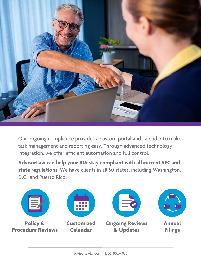

Our ongoing compliance provides a custom portal and calendar to make task management and reporting easy. Through advanced technology integration, we offer efficient automation and full control.

**AdvisorLaw can help your RIA stay compliant with all current SEC and state regulations.** We have clients in all 50 states, including Washington, D.C., and Puerto Rico.

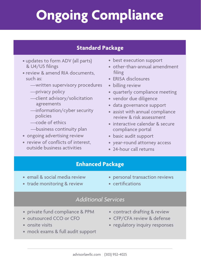# **Ongoing Compliance**

#### **Standard Package**

- updates to form ADV (all parts) & U4/U5 filings
- review & amend RIA documents, such as:
	- —written supervisory procedures
	- —privacy policy
	- —client advisory/solicitation agreements
	- —information/cyber security policies
	- —code of ethics
	- —business continuity plan
- ongoing advertising review
- review of conflicts of interest, outside business activities
- best execution support
- other-than-annual amendment filing
- ERISA disclosures
- billing review
- quarterly compliance meeting
- vendor due diligence
- data governance support
- assist with annual compliance review & risk assessment
- interactive calendar & secure compliance portal
- basic audit support
- year-round attorney access
- 24-hour call returns

#### **Enhanced Package**

- email & social media review
- personal transaction reviews
- trade monitoring & review
- certifications

#### *Additional Services*

- private fund compliance & PPM
- outsourced CCO or CFO
- onsite visits
- mock exams & full audit support
- contract drafting & review
- CFP/CFA review & defense
- regulatory inquiry responses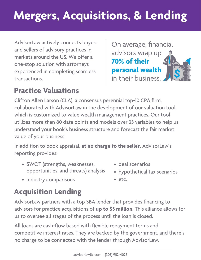## **Mergers, Acquisitions, & Lending**

AdvisorLaw actively connects buyers and sellers of advisory practices in markets around the US. We offer a one-stop solution with attorneys experienced in completing seamless transactions.

On average, financial advisors wrap up **70% of their personal wealth** in their business.

### **Practice Valuations**

Clifton Allen Larson (CLA), a consensus perennial top-10 CPA firm, collaborated with AdvisorLaw in the development of our valuation tool, which is customized to value wealth management practices. Our tool utilizes more than 80 data points and models over 35 variables to help us understand your book's business structure and forecast the fair market value of your business.

In addition to book appraisal, **at no charge to the seller,** AdvisorLaw's reporting provides:

- SWOT (strengths, weaknesses, opportunities, and threats) analysis
- deal scenarios
- hypothetical tax scenarios

• industry comparisons

• etc.

### **Acquisition Lending**

AdvisorLaw partners with a top SBA lender that provides financing to advisors for practice acquisitions of **up to \$5 million.** This alliance allows for us to oversee all stages of the process until the loan is closed.

All loans are cash-flow based with flexible repayment terms and competitive interest rates. They are backed by the government, and there's no charge to be connected with the lender through AdvisorLaw.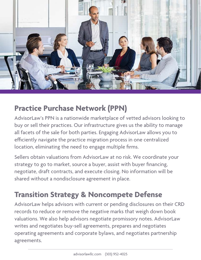

### **Practice Purchase Network (PPN)**

AdvisorLaw's PPN is a nationwide marketplace of vetted advisors looking to buy or sell their practices. Our infrastructure gives us the ability to manage all facets of the sale for both parties. Engaging AdvisorLaw allows you to efficiently navigate the practice migration process in one centralized location, eliminating the need to engage multiple firms.

Sellers obtain valuations from AdvisorLaw at no risk. We coordinate your strategy to go to market, source a buyer, assist with buyer financing, negotiate, draft contracts, and execute closing. No information will be shared without a nondisclosure agreement in place.

### **Transition Strategy & Noncompete Defense**

AdvisorLaw helps advisors with current or pending disclosures on their CRD records to reduce or remove the negative marks that weigh down book valuations. We also help advisors negotiate promissory notes. AdvisorLaw writes and negotiates buy-sell agreements, prepares and negotiates operating agreements and corporate bylaws, and negotiates partnership agreements.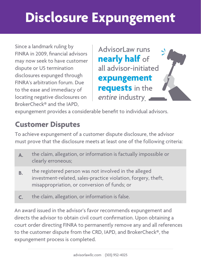# **Disclosure Expungement**

Since a landmark ruling by FINRA in 2009, financial advisors may now seek to have customer dispute or U5 termination disclosures expunged through FINRA's arbitration forum. Due to the ease and immediacy of locating negative disclosures on BrokerCheck® and the IAPD,

AdvisorLaw runs **nearly half** of all advisor-initiated **expungement requests** in the *entire* industry **.**

expungement provides a considerable benefit to individual advisors.

#### **Customer Disputes**

To achieve expungement of a customer dispute disclosure, the advisor must prove that the disclosure meets at least one of the following criteria:

- **A.** the claim, allegation, or information is factually impossible or clearly erroneous;
- the registered person was not involved in the alleged investment-related, sales-practice violation, forgery, theft, misappropriation, or conversion of funds; or **B.**
- the claim, allegation, or information is false. **C.**

An award issued in the advisor's favor recommends expungement and directs the advisor to obtain civil court confirmation. Upon obtaining a court order directing FINRA to permanently remove any and all references to the customer dispute from the CRD, IAPD, and BrokerCheck®, the expungement process is completed.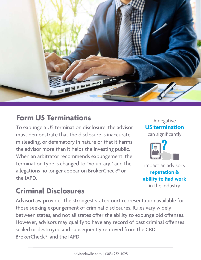

#### **Form U5 Terminations**

To expunge a U5 termination disclosure, the advisor must demonstrate that the disclosure is inaccurate, misleading, or defamatory in nature or that it harms the advisor more than it helps the investing public. When an arbitrator recommends expungement, the termination type is changed to "voluntary," and the allegations no longer appear on BrokerCheck® or the IAPD.

# **U5 termination** can significantly

A negative

impact an advisor's **reputation & ability to find work** in the industry

### **Criminal Disclosures**

AdvisorLaw provides the strongest state-court representation available for those seeking expungement of criminal disclosures. Rules vary widely between states, and not all states offer the ability to expunge old offenses. However, advisors may qualify to have any record of past criminal offenses sealed or destroyed and subsequently removed from the CRD, BrokerCheck®, and the IAPD.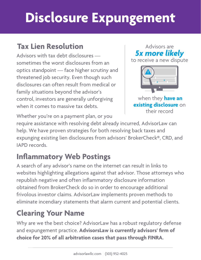# **Disclosure Expungement**

#### **Tax Lien Resolution**

Advisors with tax debt disclosures sometimes the worst disclosures from an optics standpoint — face higher scrutiny and threatened job security. Even though such disclosures can often result from medical or family situations beyond the advisor's control, investors are generally unforgiving when it comes to massive tax debts.

*5x more likely*  to receive a new dispute

Advisors are

when they **have an existing disclosure** on their record

Whether you're on a payment plan, or you

require assistance with resolving debt already incurred, AdvisorLaw can help. We have proven strategies for both resolving back taxes and expunging existing lien disclosures from advisors' BrokerCheck®, CRD, and IAPD records.

### **Inflammatory Web Postings**

A search of any advisor's name on the internet can result in links to websites highlighting allegations against that advisor. Those attorneys who republish negative and often inflammatory disclosure information obtained from BrokerCheck do so in order to encourage additional frivolous investor claims. AdvisorLaw implements proven methods to eliminate incendiary statements that alarm current and potential clients.

### **Clearing Your Name**

Why are we the best choice? AdvisorLaw has a robust regulatory defense and expungement practice. **AdvisorsLaw is currently advisors' firm of choice for 20% of all arbitration cases that pass through FINRA.**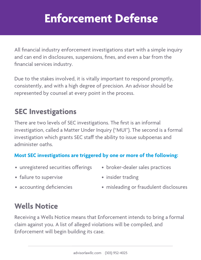### **Enforcement Defense**

All financial industry enforcement investigations start with a simple inquiry and can end in disclosures, suspensions, fines, and even a bar from the financial services industry.

 Due to the stakes involved, it is vitally important to respond promptly, consistently, and with a high degree of precision. An advisor should be represented by counsel at every point in the process.

#### **SEC Investigations**

There are two levels of SEC investigations. The first is an informal investigation, called a Matter Under Inquiry ("MUI"). The second is a formal investigation which grants SEC staff the ability to issue subpoenas and administer oaths.

#### **Most SEC investigations are triggered by one or more of the following:**

- unregistered securities offerings
- broker-dealer sales practices

• failure to supervise

• insider trading

• accounting deficiencies

• misleading or fraudulent disclosures

### **Wells Notice**

Receiving a Wells Notice means that Enforcement intends to bring a formal claim against you. A list of alleged violations will be compiled, and Enforcement will begin building its case.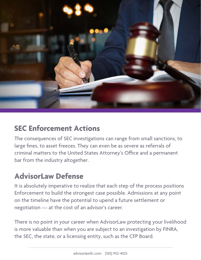

#### **SEC Enforcement Actions**

The consequences of SEC investigations can range from small sanctions, to large fines, to asset freezes. They can even be as severe as referrals of criminal matters to the United States Attorney's Office and a permanent bar from the industry altogether.

#### **AdvisorLaw Defense**

It is absolutely imperative to realize that each step of the process positions Enforcement to build the strongest case possible. Admissions at any point on the timeline have the potential to upend a future settlement or negotiation — at the cost of an advisor's career.

There is no point in your career when AdvisorLaw protecting your livelihood is more valuable than when you are subject to an investigation by FINRA, the SEC, the state, or a licensing entity, such as the CFP Board.